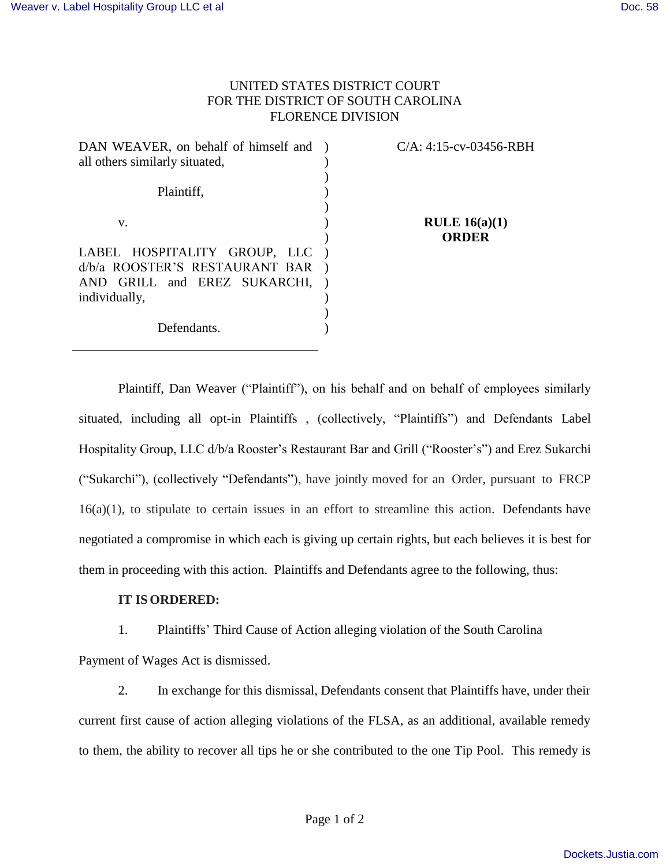## UNITED STATES DISTRICT COURT FOR THE DISTRICT OF SOUTH CAROLINA FLORENCE DIVISION

| DAN WEAVER, on behalf of himself and ) | $C/A$ : 4:15-cv-03456-RBH       |
|----------------------------------------|---------------------------------|
| all others similarly situated,         |                                 |
| Plaintiff,                             |                                 |
| V.                                     | RULE $16(a)(1)$<br><b>ORDER</b> |
| LABEL HOSPITALITY GROUP, LLC           |                                 |
| d/b/a ROOSTER'S RESTAURANT BAR         |                                 |
| AND GRILL and EREZ SUKARCHI,           |                                 |
| individually,                          |                                 |
|                                        |                                 |
| Defendants.                            |                                 |
|                                        |                                 |

Plaintiff, Dan Weaver ("Plaintiff"), on his behalf and on behalf of employees similarly situated, including all opt-in Plaintiffs , (collectively, "Plaintiffs") and Defendants Label Hospitality Group, LLC d/b/a Rooster's Restaurant Bar and Grill ("Rooster's") and Erez Sukarchi ("Sukarchi"), (collectively "Defendants"), have jointly moved for an Order, pursuant to FRCP 16(a)(1), to stipulate to certain issues in an effort to streamline this action. Defendants have negotiated a compromise in which each is giving up certain rights, but each believes it is best for them in proceeding with this action. Plaintiffs and Defendants agree to the following, thus:

## **IT IS ORDERED:**

1. Plaintiffs' Third Cause of Action alleging violation of the South Carolina Payment of Wages Act is dismissed.

2. In exchange for this dismissal, Defendants consent that Plaintiffs have, under their current first cause of action alleging violations of the FLSA, as an additional, available remedy to them, the ability to recover all tips he or she contributed to the one Tip Pool. This remedy is